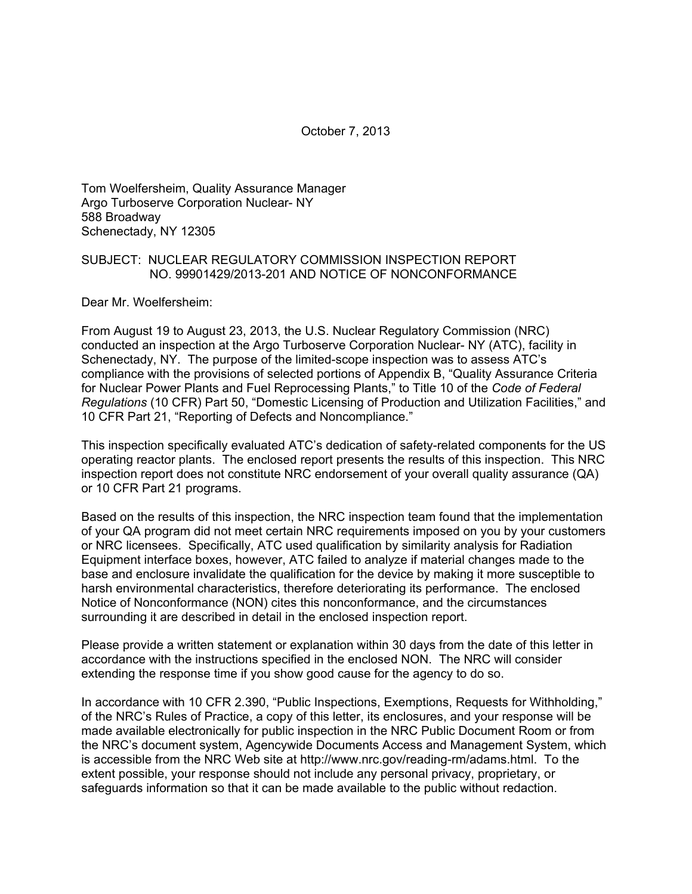October 7, 2013

Tom Woelfersheim, Quality Assurance Manager Argo Turboserve Corporation Nuclear- NY 588 Broadway Schenectady, NY 12305

### SUBJECT: NUCLEAR REGULATORY COMMISSION INSPECTION REPORT NO. 99901429/2013-201 AND NOTICE OF NONCONFORMANCE

Dear Mr. Woelfersheim:

From August 19 to August 23, 2013, the U.S. Nuclear Regulatory Commission (NRC) conducted an inspection at the Argo Turboserve Corporation Nuclear- NY (ATC), facility in Schenectady, NY. The purpose of the limited-scope inspection was to assess ATC's compliance with the provisions of selected portions of Appendix B, "Quality Assurance Criteria for Nuclear Power Plants and Fuel Reprocessing Plants," to Title 10 of the *Code of Federal Regulations* (10 CFR) Part 50, "Domestic Licensing of Production and Utilization Facilities," and 10 CFR Part 21, "Reporting of Defects and Noncompliance."

This inspection specifically evaluated ATC's dedication of safety-related components for the US operating reactor plants. The enclosed report presents the results of this inspection. This NRC inspection report does not constitute NRC endorsement of your overall quality assurance (QA) or 10 CFR Part 21 programs.

Based on the results of this inspection, the NRC inspection team found that the implementation of your QA program did not meet certain NRC requirements imposed on you by your customers or NRC licensees. Specifically, ATC used qualification by similarity analysis for Radiation Equipment interface boxes, however, ATC failed to analyze if material changes made to the base and enclosure invalidate the qualification for the device by making it more susceptible to harsh environmental characteristics, therefore deteriorating its performance. The enclosed Notice of Nonconformance (NON) cites this nonconformance, and the circumstances surrounding it are described in detail in the enclosed inspection report.

Please provide a written statement or explanation within 30 days from the date of this letter in accordance with the instructions specified in the enclosed NON. The NRC will consider extending the response time if you show good cause for the agency to do so.

In accordance with 10 CFR 2.390, "Public Inspections, Exemptions, Requests for Withholding," of the NRC's Rules of Practice, a copy of this letter, its enclosures, and your response will be made available electronically for public inspection in the NRC Public Document Room or from the NRC's document system, Agencywide Documents Access and Management System, which is accessible from the NRC Web site at http://www.nrc.gov/reading-rm/adams.html. To the extent possible, your response should not include any personal privacy, proprietary, or safeguards information so that it can be made available to the public without redaction.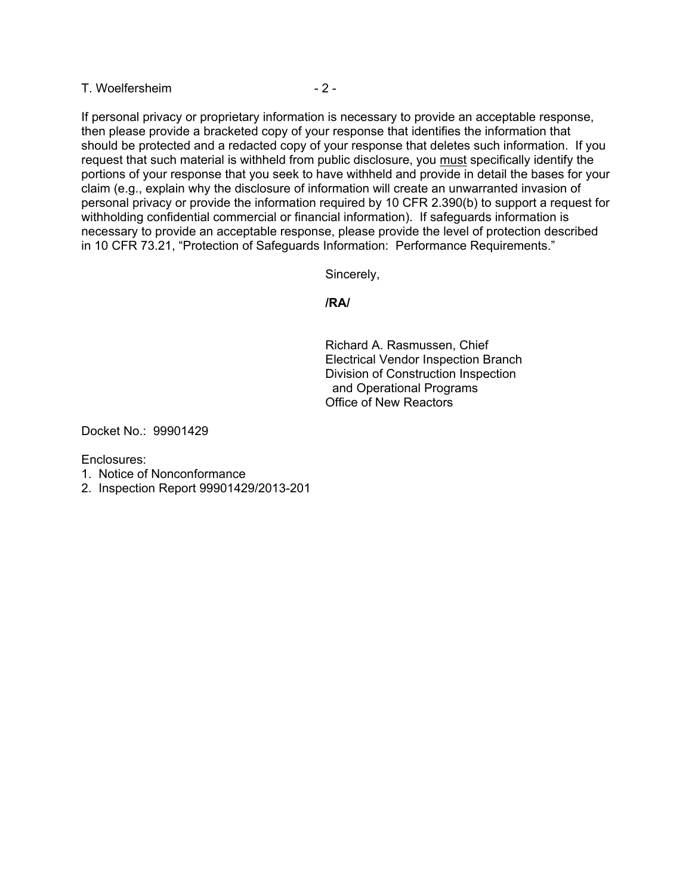T. Woelfersheim  $-2 -$ 

If personal privacy or proprietary information is necessary to provide an acceptable response, then please provide a bracketed copy of your response that identifies the information that should be protected and a redacted copy of your response that deletes such information. If you request that such material is withheld from public disclosure, you must specifically identify the portions of your response that you seek to have withheld and provide in detail the bases for your claim (e.g., explain why the disclosure of information will create an unwarranted invasion of personal privacy or provide the information required by 10 CFR 2.390(b) to support a request for withholding confidential commercial or financial information). If safeguards information is necessary to provide an acceptable response, please provide the level of protection described in 10 CFR 73.21, "Protection of Safeguards Information: Performance Requirements."

Sincerely,

#### **/RA/**

Richard A. Rasmussen, Chief Electrical Vendor Inspection Branch Division of Construction Inspection and Operational Programs Office of New Reactors

Docket No.: 99901429

Enclosures:

- 1. Notice of Nonconformance
- 2. Inspection Report 99901429/2013-201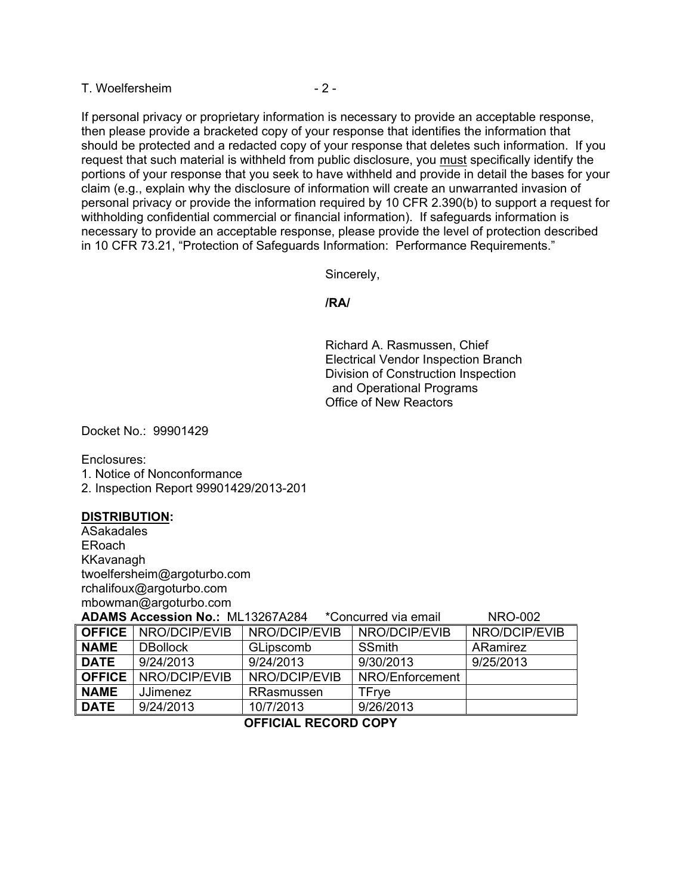T. Woelfersheim  $-2 -$ 

If personal privacy or proprietary information is necessary to provide an acceptable response, then please provide a bracketed copy of your response that identifies the information that should be protected and a redacted copy of your response that deletes such information. If you request that such material is withheld from public disclosure, you must specifically identify the portions of your response that you seek to have withheld and provide in detail the bases for your claim (e.g., explain why the disclosure of information will create an unwarranted invasion of personal privacy or provide the information required by 10 CFR 2.390(b) to support a request for withholding confidential commercial or financial information). If safeguards information is necessary to provide an acceptable response, please provide the level of protection described in 10 CFR 73.21, "Protection of Safeguards Information: Performance Requirements."

Sincerely,

**/RA/** 

Richard A. Rasmussen, Chief Electrical Vendor Inspection Branch Division of Construction Inspection and Operational Programs Office of New Reactors

Docket No.: 99901429

Enclosures:

1. Notice of Nonconformance

2. Inspection Report 99901429/2013-201

#### **DISTRIBUTION:**

ASakadales ERoach KKavanagh twoelfersheim@argoturbo.com rchalifoux@argoturbo.com mbowman@argoturbo.com

**ADAMS Accession No.:** ML13267A284 \*Concurred via email NRO-002

| <b>OFFICE</b> | NRO/DCIP/EVIB   | NRO/DCIP/EVIB | NRO/DCIP/EVIB   | NRO/DCIP/EVIB |  |
|---------------|-----------------|---------------|-----------------|---------------|--|
| <b>NAME</b>   | <b>DBollock</b> | GLipscomb     | <b>SSmith</b>   | ARamirez      |  |
| <b>DATE</b>   | 9/24/2013       | 9/24/2013     | 9/30/2013       | 9/25/2013     |  |
| <b>OFFICE</b> | NRO/DCIP/EVIB   | NRO/DCIP/EVIB | NRO/Enforcement |               |  |
| <b>NAME</b>   | <b>JJimenez</b> | RRasmussen    | TFrye           |               |  |
| <b>DATE</b>   | 9/24/2013       | 10/7/2013     | 9/26/2013       |               |  |
|               |                 |               |                 |               |  |

# **OFFICIAL RECORD COPY**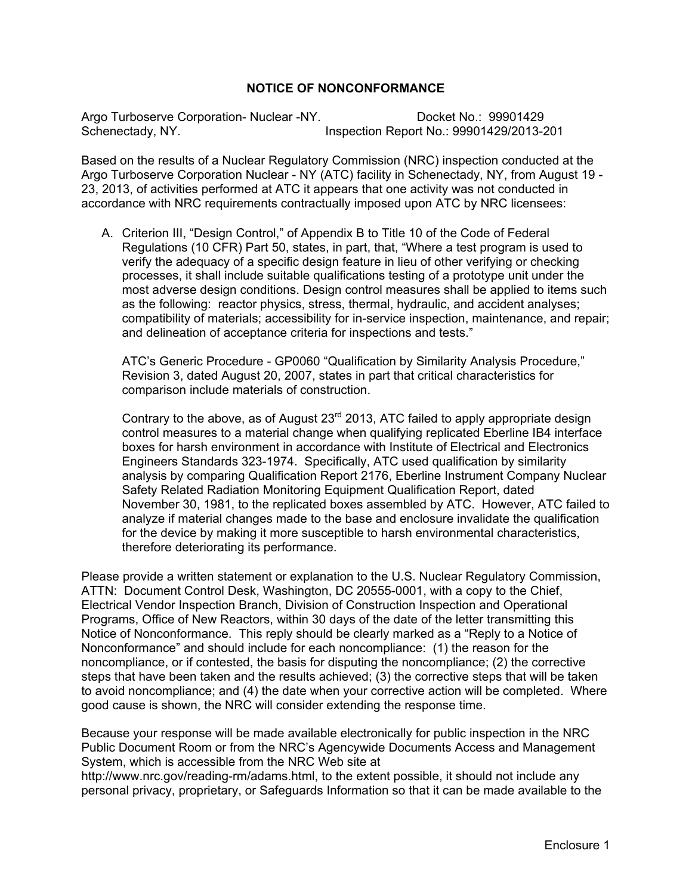# **NOTICE OF NONCONFORMANCE**

Argo Turboserve Corporation- Nuclear -NY. Docket No.: 99901429 Schenectady, NY. Inspection Report No.: 99901429/2013-201

Based on the results of a Nuclear Regulatory Commission (NRC) inspection conducted at the Argo Turboserve Corporation Nuclear - NY (ATC) facility in Schenectady, NY, from August 19 - 23, 2013, of activities performed at ATC it appears that one activity was not conducted in accordance with NRC requirements contractually imposed upon ATC by NRC licensees:

A. Criterion III, "Design Control," of Appendix B to Title 10 of the Code of Federal Regulations (10 CFR) Part 50, states, in part, that, "Where a test program is used to verify the adequacy of a specific design feature in lieu of other verifying or checking processes, it shall include suitable qualifications testing of a prototype unit under the most adverse design conditions. Design control measures shall be applied to items such as the following: reactor physics, stress, thermal, hydraulic, and accident analyses; compatibility of materials; accessibility for in-service inspection, maintenance, and repair; and delineation of acceptance criteria for inspections and tests."

ATC's Generic Procedure - GP0060 "Qualification by Similarity Analysis Procedure," Revision 3, dated August 20, 2007, states in part that critical characteristics for comparison include materials of construction.

Contrary to the above, as of August 23<sup>rd</sup> 2013, ATC failed to apply appropriate design control measures to a material change when qualifying replicated Eberline IB4 interface boxes for harsh environment in accordance with Institute of Electrical and Electronics Engineers Standards 323-1974. Specifically, ATC used qualification by similarity analysis by comparing Qualification Report 2176, Eberline Instrument Company Nuclear Safety Related Radiation Monitoring Equipment Qualification Report, dated November 30, 1981, to the replicated boxes assembled by ATC. However, ATC failed to analyze if material changes made to the base and enclosure invalidate the qualification for the device by making it more susceptible to harsh environmental characteristics, therefore deteriorating its performance.

Please provide a written statement or explanation to the U.S. Nuclear Regulatory Commission, ATTN: Document Control Desk, Washington, DC 20555-0001, with a copy to the Chief, Electrical Vendor Inspection Branch, Division of Construction Inspection and Operational Programs, Office of New Reactors, within 30 days of the date of the letter transmitting this Notice of Nonconformance. This reply should be clearly marked as a "Reply to a Notice of Nonconformance" and should include for each noncompliance: (1) the reason for the noncompliance, or if contested, the basis for disputing the noncompliance; (2) the corrective steps that have been taken and the results achieved; (3) the corrective steps that will be taken to avoid noncompliance; and (4) the date when your corrective action will be completed. Where good cause is shown, the NRC will consider extending the response time.

Because your response will be made available electronically for public inspection in the NRC Public Document Room or from the NRC's Agencywide Documents Access and Management System, which is accessible from the NRC Web site at

http://www.nrc.gov/reading-rm/adams.html, to the extent possible, it should not include any personal privacy, proprietary, or Safeguards Information so that it can be made available to the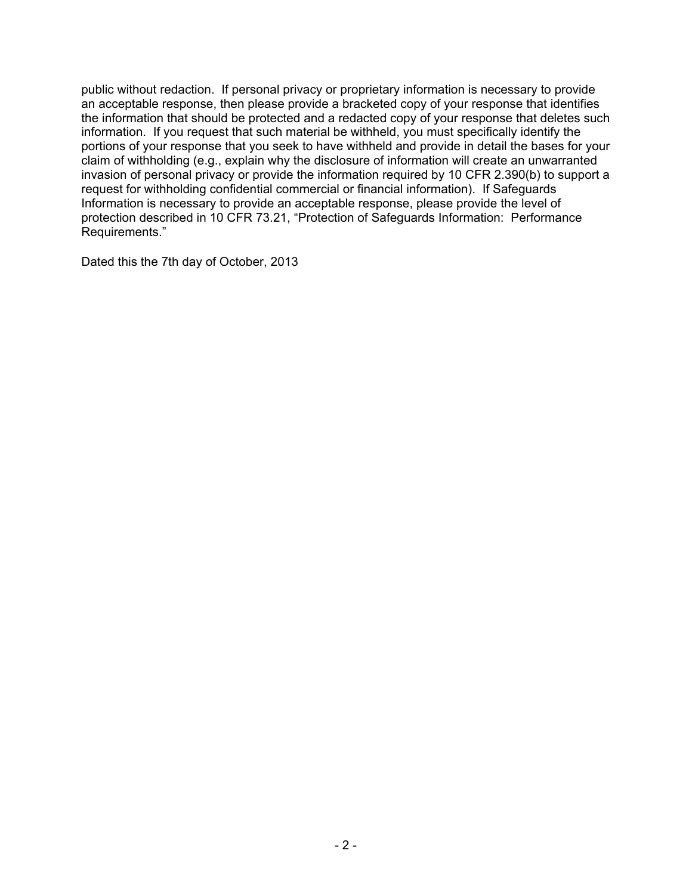public without redaction. If personal privacy or proprietary information is necessary to provide an acceptable response, then please provide a bracketed copy of your response that identifies the information that should be protected and a redacted copy of your response that deletes such information. If you request that such material be withheld, you must specifically identify the portions of your response that you seek to have withheld and provide in detail the bases for your claim of withholding (e.g., explain why the disclosure of information will create an unwarranted invasion of personal privacy or provide the information required by 10 CFR 2.390(b) to support a request for withholding confidential commercial or financial information). If Safeguards Information is necessary to provide an acceptable response, please provide the level of protection described in 10 CFR 73.21, "Protection of Safeguards Information: Performance Requirements."

Dated this the 7th day of October, 2013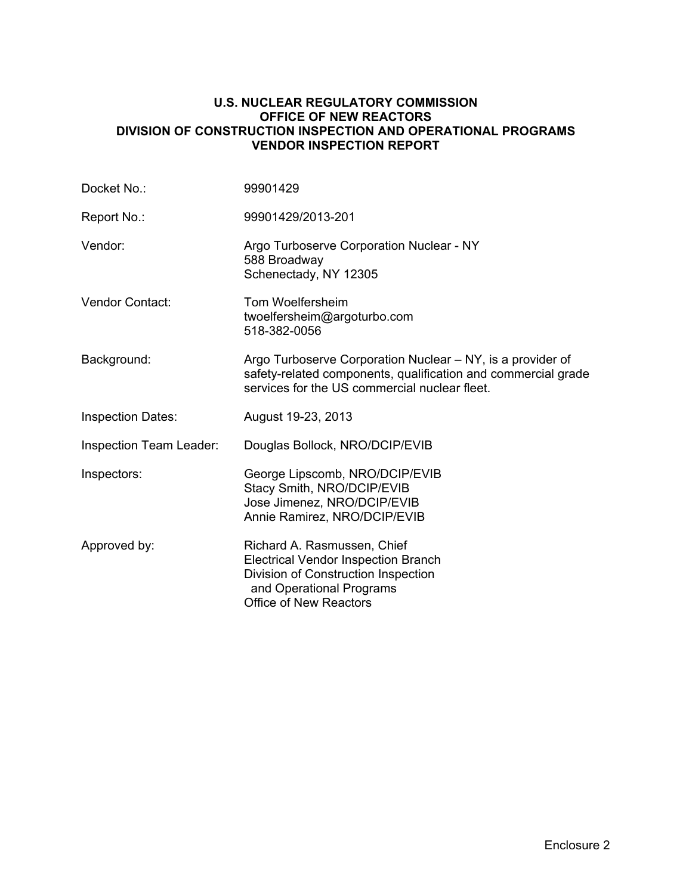#### **U.S. NUCLEAR REGULATORY COMMISSION OFFICE OF NEW REACTORS DIVISION OF CONSTRUCTION INSPECTION AND OPERATIONAL PROGRAMS VENDOR INSPECTION REPORT**

| Docket No.:                    | 99901429                                                                                                                                                                      |  |  |
|--------------------------------|-------------------------------------------------------------------------------------------------------------------------------------------------------------------------------|--|--|
| Report No.:                    | 99901429/2013-201                                                                                                                                                             |  |  |
| Vendor:                        | Argo Turboserve Corporation Nuclear - NY<br>588 Broadway<br>Schenectady, NY 12305                                                                                             |  |  |
| <b>Vendor Contact:</b>         | Tom Woelfersheim<br>twoelfersheim@argoturbo.com<br>518-382-0056                                                                                                               |  |  |
| Background:                    | Argo Turboserve Corporation Nuclear – NY, is a provider of<br>safety-related components, qualification and commercial grade<br>services for the US commercial nuclear fleet.  |  |  |
| <b>Inspection Dates:</b>       | August 19-23, 2013                                                                                                                                                            |  |  |
| <b>Inspection Team Leader:</b> | Douglas Bollock, NRO/DCIP/EVIB                                                                                                                                                |  |  |
| Inspectors:                    | George Lipscomb, NRO/DCIP/EVIB<br>Stacy Smith, NRO/DCIP/EVIB<br>Jose Jimenez, NRO/DCIP/EVIB<br>Annie Ramirez, NRO/DCIP/EVIB                                                   |  |  |
| Approved by:                   | Richard A. Rasmussen, Chief<br><b>Electrical Vendor Inspection Branch</b><br>Division of Construction Inspection<br>and Operational Programs<br><b>Office of New Reactors</b> |  |  |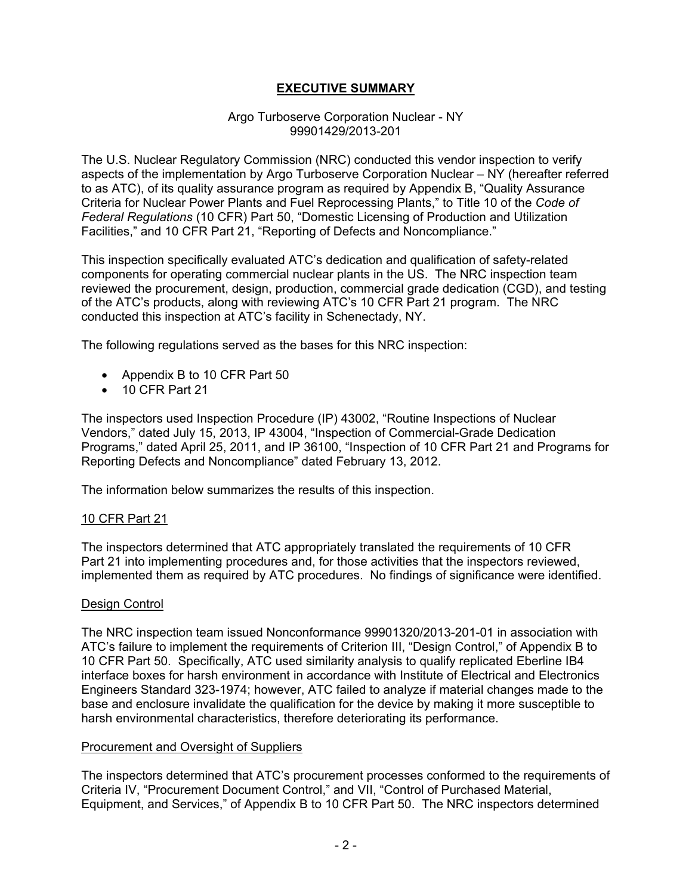# **EXECUTIVE SUMMARY**

#### Argo Turboserve Corporation Nuclear - NY 99901429/2013-201

The U.S. Nuclear Regulatory Commission (NRC) conducted this vendor inspection to verify aspects of the implementation by Argo Turboserve Corporation Nuclear – NY (hereafter referred to as ATC), of its quality assurance program as required by Appendix B, "Quality Assurance Criteria for Nuclear Power Plants and Fuel Reprocessing Plants," to Title 10 of the *Code of Federal Regulations* (10 CFR) Part 50, "Domestic Licensing of Production and Utilization Facilities," and 10 CFR Part 21, "Reporting of Defects and Noncompliance."

This inspection specifically evaluated ATC's dedication and qualification of safety-related components for operating commercial nuclear plants in the US. The NRC inspection team reviewed the procurement, design, production, commercial grade dedication (CGD), and testing of the ATC's products, along with reviewing ATC's 10 CFR Part 21 program. The NRC conducted this inspection at ATC's facility in Schenectady, NY.

The following regulations served as the bases for this NRC inspection:

- Appendix B to 10 CFR Part 50
- 10 CFR Part 21

The inspectors used Inspection Procedure (IP) 43002, "Routine Inspections of Nuclear Vendors," dated July 15, 2013, IP 43004, "Inspection of Commercial-Grade Dedication Programs," dated April 25, 2011, and IP 36100, "Inspection of 10 CFR Part 21 and Programs for Reporting Defects and Noncompliance" dated February 13, 2012.

The information below summarizes the results of this inspection.

# 10 CFR Part 21

The inspectors determined that ATC appropriately translated the requirements of 10 CFR Part 21 into implementing procedures and, for those activities that the inspectors reviewed, implemented them as required by ATC procedures. No findings of significance were identified.

# Design Control

The NRC inspection team issued Nonconformance 99901320/2013-201-01 in association with ATC's failure to implement the requirements of Criterion III, "Design Control," of Appendix B to 10 CFR Part 50. Specifically, ATC used similarity analysis to qualify replicated Eberline IB4 interface boxes for harsh environment in accordance with Institute of Electrical and Electronics Engineers Standard 323-1974; however, ATC failed to analyze if material changes made to the base and enclosure invalidate the qualification for the device by making it more susceptible to harsh environmental characteristics, therefore deteriorating its performance.

#### Procurement and Oversight of Suppliers

The inspectors determined that ATC's procurement processes conformed to the requirements of Criteria IV, "Procurement Document Control," and VII, "Control of Purchased Material, Equipment, and Services," of Appendix B to 10 CFR Part 50. The NRC inspectors determined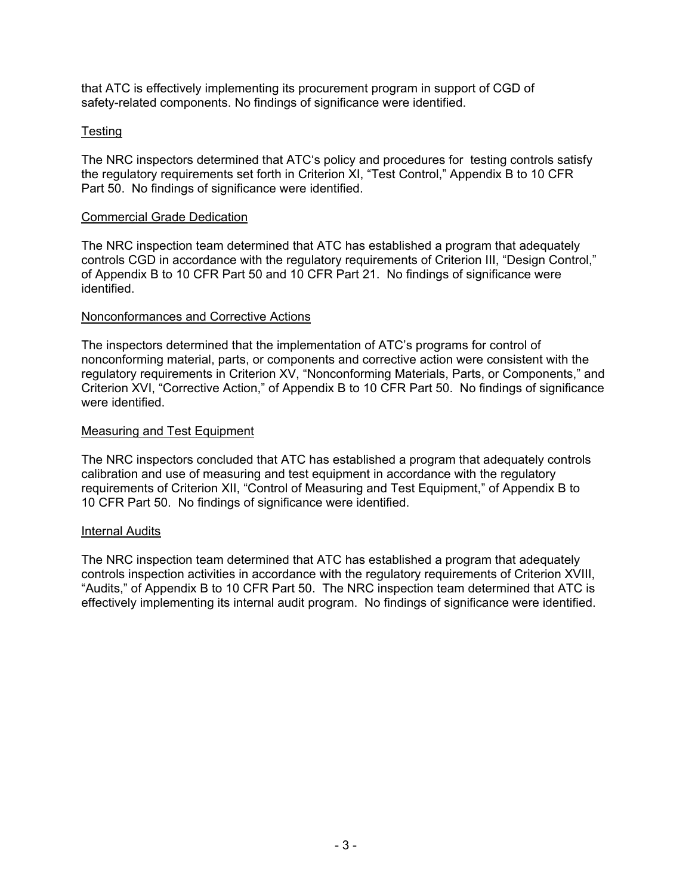that ATC is effectively implementing its procurement program in support of CGD of safety-related components. No findings of significance were identified.

# **Testing**

The NRC inspectors determined that ATC's policy and procedures for testing controls satisfy the regulatory requirements set forth in Criterion XI, "Test Control," Appendix B to 10 CFR Part 50. No findings of significance were identified.

### Commercial Grade Dedication

The NRC inspection team determined that ATC has established a program that adequately controls CGD in accordance with the regulatory requirements of Criterion III, "Design Control," of Appendix B to 10 CFR Part 50 and 10 CFR Part 21. No findings of significance were identified.

# Nonconformances and Corrective Actions

The inspectors determined that the implementation of ATC's programs for control of nonconforming material, parts, or components and corrective action were consistent with the regulatory requirements in Criterion XV, "Nonconforming Materials, Parts, or Components," and Criterion XVI, "Corrective Action," of Appendix B to 10 CFR Part 50. No findings of significance were identified.

### Measuring and Test Equipment

The NRC inspectors concluded that ATC has established a program that adequately controls calibration and use of measuring and test equipment in accordance with the regulatory requirements of Criterion XII, "Control of Measuring and Test Equipment," of Appendix B to 10 CFR Part 50. No findings of significance were identified.

# Internal Audits

The NRC inspection team determined that ATC has established a program that adequately controls inspection activities in accordance with the regulatory requirements of Criterion XVIII, "Audits," of Appendix B to 10 CFR Part 50. The NRC inspection team determined that ATC is effectively implementing its internal audit program. No findings of significance were identified.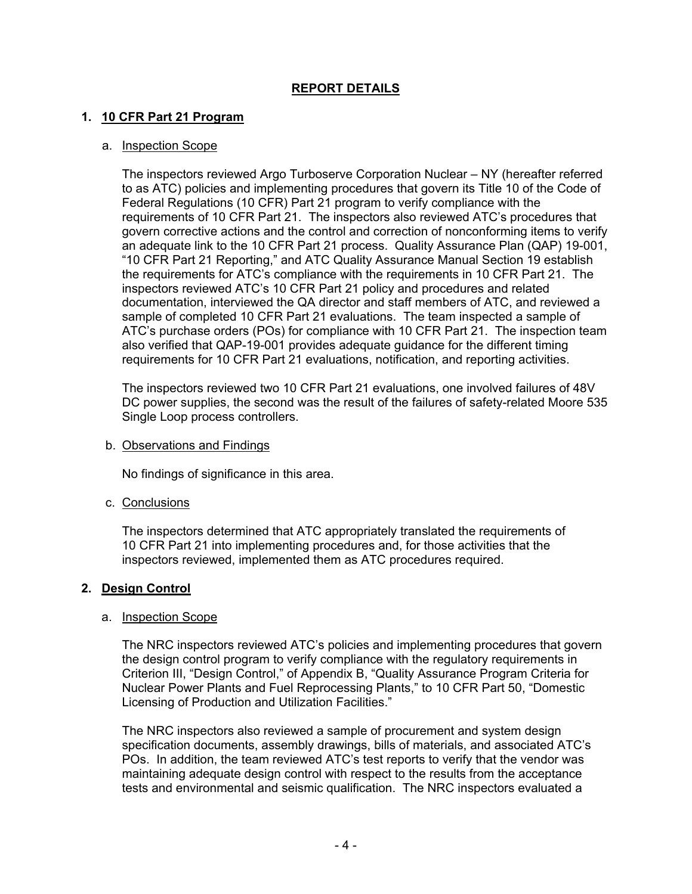# **REPORT DETAILS**

# **1. 10 CFR Part 21 Program**

# a. Inspection Scope

The inspectors reviewed Argo Turboserve Corporation Nuclear – NY (hereafter referred to as ATC) policies and implementing procedures that govern its Title 10 of the Code of Federal Regulations (10 CFR) Part 21 program to verify compliance with the requirements of 10 CFR Part 21. The inspectors also reviewed ATC's procedures that govern corrective actions and the control and correction of nonconforming items to verify an adequate link to the 10 CFR Part 21 process. Quality Assurance Plan (QAP) 19-001, "10 CFR Part 21 Reporting," and ATC Quality Assurance Manual Section 19 establish the requirements for ATC's compliance with the requirements in 10 CFR Part 21. The inspectors reviewed ATC's 10 CFR Part 21 policy and procedures and related documentation, interviewed the QA director and staff members of ATC, and reviewed a sample of completed 10 CFR Part 21 evaluations. The team inspected a sample of ATC's purchase orders (POs) for compliance with 10 CFR Part 21. The inspection team also verified that QAP-19-001 provides adequate guidance for the different timing requirements for 10 CFR Part 21 evaluations, notification, and reporting activities.

The inspectors reviewed two 10 CFR Part 21 evaluations, one involved failures of 48V DC power supplies, the second was the result of the failures of safety-related Moore 535 Single Loop process controllers.

b. Observations and Findings

No findings of significance in this area.

c. Conclusions

The inspectors determined that ATC appropriately translated the requirements of 10 CFR Part 21 into implementing procedures and, for those activities that the inspectors reviewed, implemented them as ATC procedures required.

# **2. Design Control**

#### a. Inspection Scope

The NRC inspectors reviewed ATC's policies and implementing procedures that govern the design control program to verify compliance with the regulatory requirements in Criterion III, "Design Control," of Appendix B, "Quality Assurance Program Criteria for Nuclear Power Plants and Fuel Reprocessing Plants," to 10 CFR Part 50, "Domestic Licensing of Production and Utilization Facilities."

The NRC inspectors also reviewed a sample of procurement and system design specification documents, assembly drawings, bills of materials, and associated ATC's POs. In addition, the team reviewed ATC's test reports to verify that the vendor was maintaining adequate design control with respect to the results from the acceptance tests and environmental and seismic qualification. The NRC inspectors evaluated a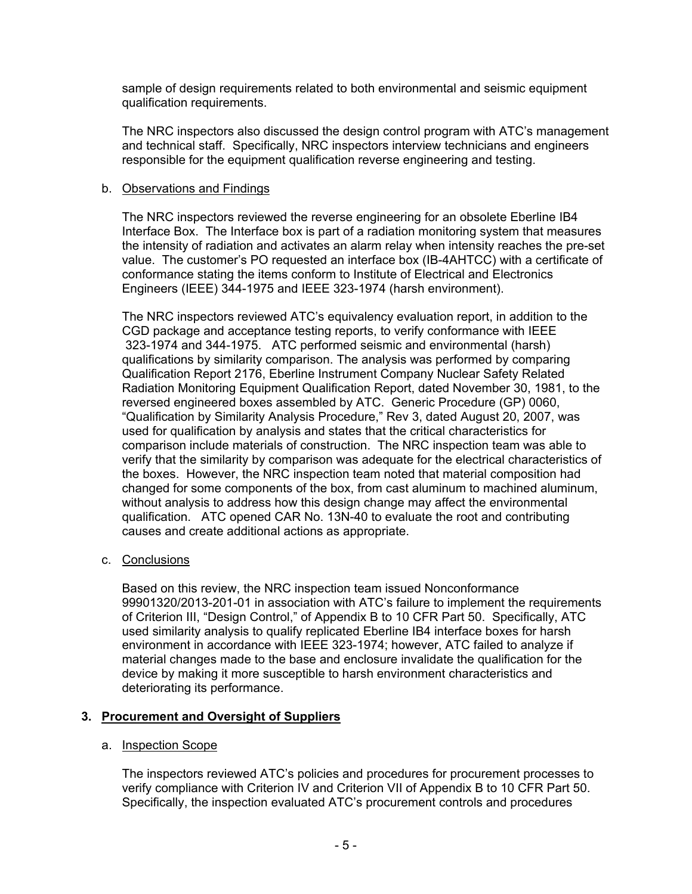sample of design requirements related to both environmental and seismic equipment qualification requirements.

The NRC inspectors also discussed the design control program with ATC's management and technical staff. Specifically, NRC inspectors interview technicians and engineers responsible for the equipment qualification reverse engineering and testing.

### b. Observations and Findings

The NRC inspectors reviewed the reverse engineering for an obsolete Eberline IB4 Interface Box. The Interface box is part of a radiation monitoring system that measures the intensity of radiation and activates an alarm relay when intensity reaches the pre-set value. The customer's PO requested an interface box (IB-4AHTCC) with a certificate of conformance stating the items conform to Institute of Electrical and Electronics Engineers (IEEE) 344-1975 and IEEE 323-1974 (harsh environment).

The NRC inspectors reviewed ATC's equivalency evaluation report, in addition to the CGD package and acceptance testing reports, to verify conformance with IEEE 323-1974 and 344-1975. ATC performed seismic and environmental (harsh) qualifications by similarity comparison. The analysis was performed by comparing Qualification Report 2176, Eberline Instrument Company Nuclear Safety Related Radiation Monitoring Equipment Qualification Report, dated November 30, 1981, to the reversed engineered boxes assembled by ATC. Generic Procedure (GP) 0060, "Qualification by Similarity Analysis Procedure," Rev 3, dated August 20, 2007, was used for qualification by analysis and states that the critical characteristics for comparison include materials of construction. The NRC inspection team was able to verify that the similarity by comparison was adequate for the electrical characteristics of the boxes. However, the NRC inspection team noted that material composition had changed for some components of the box, from cast aluminum to machined aluminum, without analysis to address how this design change may affect the environmental qualification. ATC opened CAR No. 13N-40 to evaluate the root and contributing causes and create additional actions as appropriate.

c. Conclusions

Based on this review, the NRC inspection team issued Nonconformance 99901320/2013-201-01 in association with ATC's failure to implement the requirements of Criterion III, "Design Control," of Appendix B to 10 CFR Part 50. Specifically, ATC used similarity analysis to qualify replicated Eberline IB4 interface boxes for harsh environment in accordance with IEEE 323-1974; however, ATC failed to analyze if material changes made to the base and enclosure invalidate the qualification for the device by making it more susceptible to harsh environment characteristics and deteriorating its performance.

# **3. Procurement and Oversight of Suppliers**

# a. Inspection Scope

The inspectors reviewed ATC's policies and procedures for procurement processes to verify compliance with Criterion IV and Criterion VII of Appendix B to 10 CFR Part 50. Specifically, the inspection evaluated ATC's procurement controls and procedures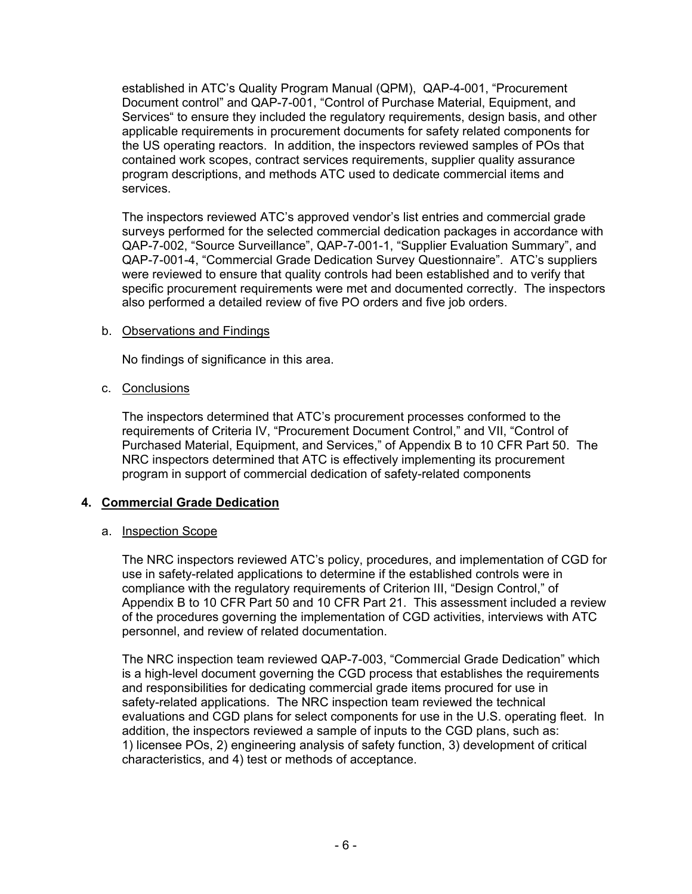established in ATC's Quality Program Manual (QPM), QAP-4-001, "Procurement Document control" and QAP-7-001, "Control of Purchase Material, Equipment, and Services" to ensure they included the regulatory requirements, design basis, and other applicable requirements in procurement documents for safety related components for the US operating reactors. In addition, the inspectors reviewed samples of POs that contained work scopes, contract services requirements, supplier quality assurance program descriptions, and methods ATC used to dedicate commercial items and services.

The inspectors reviewed ATC's approved vendor's list entries and commercial grade surveys performed for the selected commercial dedication packages in accordance with QAP-7-002, "Source Surveillance", QAP-7-001-1, "Supplier Evaluation Summary", and QAP-7-001-4, "Commercial Grade Dedication Survey Questionnaire". ATC's suppliers were reviewed to ensure that quality controls had been established and to verify that specific procurement requirements were met and documented correctly. The inspectors also performed a detailed review of five PO orders and five job orders.

# b. Observations and Findings

No findings of significance in this area.

# c. Conclusions

The inspectors determined that ATC's procurement processes conformed to the requirements of Criteria IV, "Procurement Document Control," and VII, "Control of Purchased Material, Equipment, and Services," of Appendix B to 10 CFR Part 50. The NRC inspectors determined that ATC is effectively implementing its procurement program in support of commercial dedication of safety-related components

# **4. Commercial Grade Dedication**

# a. Inspection Scope

The NRC inspectors reviewed ATC's policy, procedures, and implementation of CGD for use in safety-related applications to determine if the established controls were in compliance with the regulatory requirements of Criterion III, "Design Control," of Appendix B to 10 CFR Part 50 and 10 CFR Part 21. This assessment included a review of the procedures governing the implementation of CGD activities, interviews with ATC personnel, and review of related documentation.

The NRC inspection team reviewed QAP-7-003, "Commercial Grade Dedication" which is a high-level document governing the CGD process that establishes the requirements and responsibilities for dedicating commercial grade items procured for use in safety-related applications. The NRC inspection team reviewed the technical evaluations and CGD plans for select components for use in the U.S. operating fleet. In addition, the inspectors reviewed a sample of inputs to the CGD plans, such as: 1) licensee POs, 2) engineering analysis of safety function, 3) development of critical characteristics, and 4) test or methods of acceptance.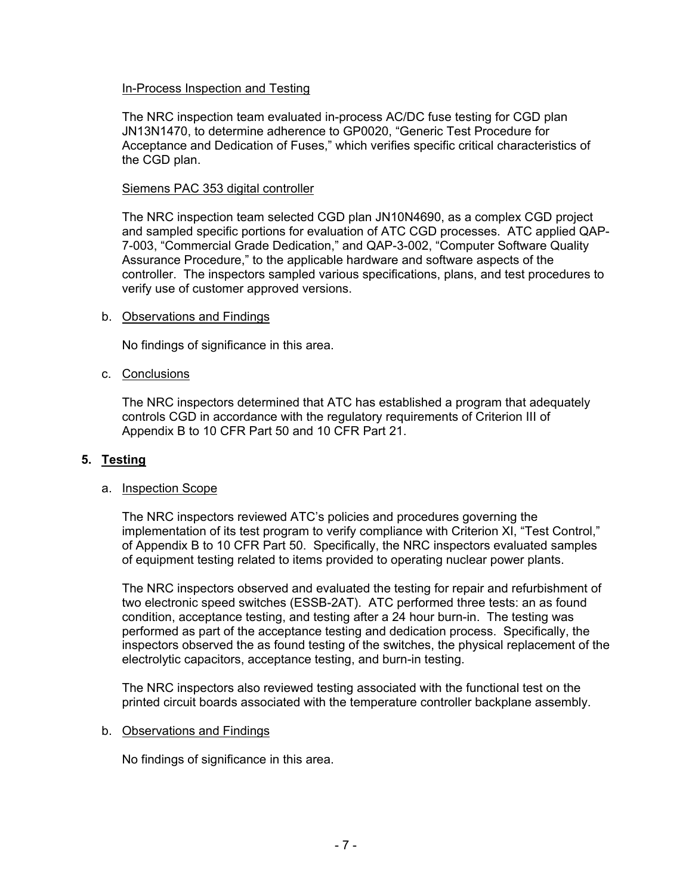### In-Process Inspection and Testing

The NRC inspection team evaluated in-process AC/DC fuse testing for CGD plan JN13N1470, to determine adherence to GP0020, "Generic Test Procedure for Acceptance and Dedication of Fuses," which verifies specific critical characteristics of the CGD plan.

#### Siemens PAC 353 digital controller

The NRC inspection team selected CGD plan JN10N4690, as a complex CGD project and sampled specific portions for evaluation of ATC CGD processes. ATC applied QAP-7-003, "Commercial Grade Dedication," and QAP-3-002, "Computer Software Quality Assurance Procedure," to the applicable hardware and software aspects of the controller. The inspectors sampled various specifications, plans, and test procedures to verify use of customer approved versions.

#### b. Observations and Findings

No findings of significance in this area.

### c. Conclusions

The NRC inspectors determined that ATC has established a program that adequately controls CGD in accordance with the regulatory requirements of Criterion III of Appendix B to 10 CFR Part 50 and 10 CFR Part 21.

# **5. Testing**

#### a. Inspection Scope

The NRC inspectors reviewed ATC's policies and procedures governing the implementation of its test program to verify compliance with Criterion XI, "Test Control," of Appendix B to 10 CFR Part 50. Specifically, the NRC inspectors evaluated samples of equipment testing related to items provided to operating nuclear power plants.

The NRC inspectors observed and evaluated the testing for repair and refurbishment of two electronic speed switches (ESSB-2AT). ATC performed three tests: an as found condition, acceptance testing, and testing after a 24 hour burn-in. The testing was performed as part of the acceptance testing and dedication process. Specifically, the inspectors observed the as found testing of the switches, the physical replacement of the electrolytic capacitors, acceptance testing, and burn-in testing.

The NRC inspectors also reviewed testing associated with the functional test on the printed circuit boards associated with the temperature controller backplane assembly.

#### b. Observations and Findings

No findings of significance in this area.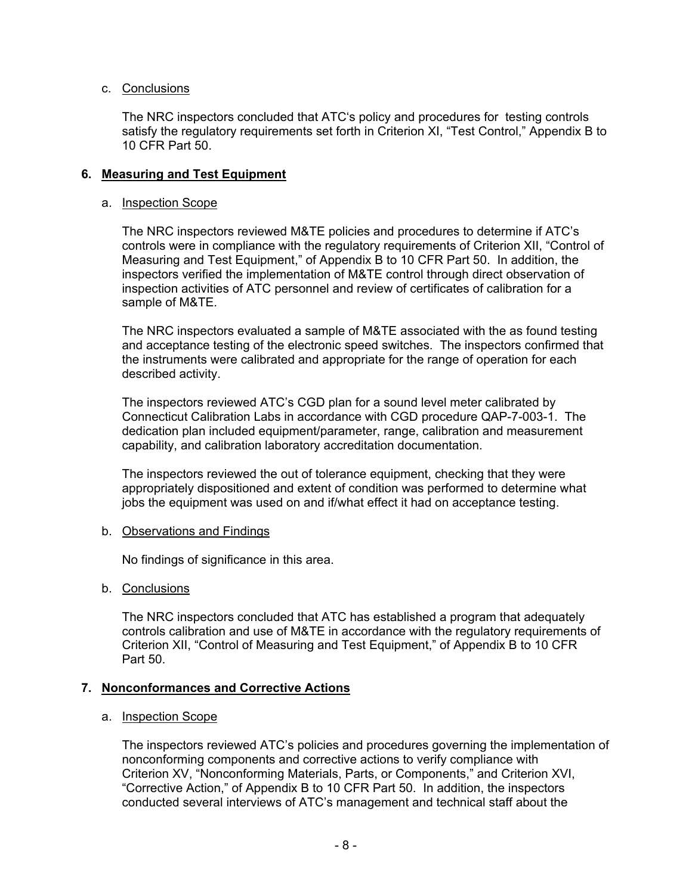# c. Conclusions

The NRC inspectors concluded that ATC's policy and procedures for testing controls satisfy the regulatory requirements set forth in Criterion XI, "Test Control," Appendix B to 10 CFR Part 50.

# **6. Measuring and Test Equipment**

### a. Inspection Scope

The NRC inspectors reviewed M&TE policies and procedures to determine if ATC's controls were in compliance with the regulatory requirements of Criterion XII, "Control of Measuring and Test Equipment," of Appendix B to 10 CFR Part 50. In addition, the inspectors verified the implementation of M&TE control through direct observation of inspection activities of ATC personnel and review of certificates of calibration for a sample of M&TE.

The NRC inspectors evaluated a sample of M&TE associated with the as found testing and acceptance testing of the electronic speed switches. The inspectors confirmed that the instruments were calibrated and appropriate for the range of operation for each described activity.

The inspectors reviewed ATC's CGD plan for a sound level meter calibrated by Connecticut Calibration Labs in accordance with CGD procedure QAP-7-003-1. The dedication plan included equipment/parameter, range, calibration and measurement capability, and calibration laboratory accreditation documentation.

The inspectors reviewed the out of tolerance equipment, checking that they were appropriately dispositioned and extent of condition was performed to determine what jobs the equipment was used on and if/what effect it had on acceptance testing.

# b. Observations and Findings

No findings of significance in this area.

# b. Conclusions

The NRC inspectors concluded that ATC has established a program that adequately controls calibration and use of M&TE in accordance with the regulatory requirements of Criterion XII, "Control of Measuring and Test Equipment," of Appendix B to 10 CFR Part 50.

# **7. Nonconformances and Corrective Actions**

#### a. Inspection Scope

The inspectors reviewed ATC's policies and procedures governing the implementation of nonconforming components and corrective actions to verify compliance with Criterion XV, "Nonconforming Materials, Parts, or Components," and Criterion XVI, "Corrective Action," of Appendix B to 10 CFR Part 50. In addition, the inspectors conducted several interviews of ATC's management and technical staff about the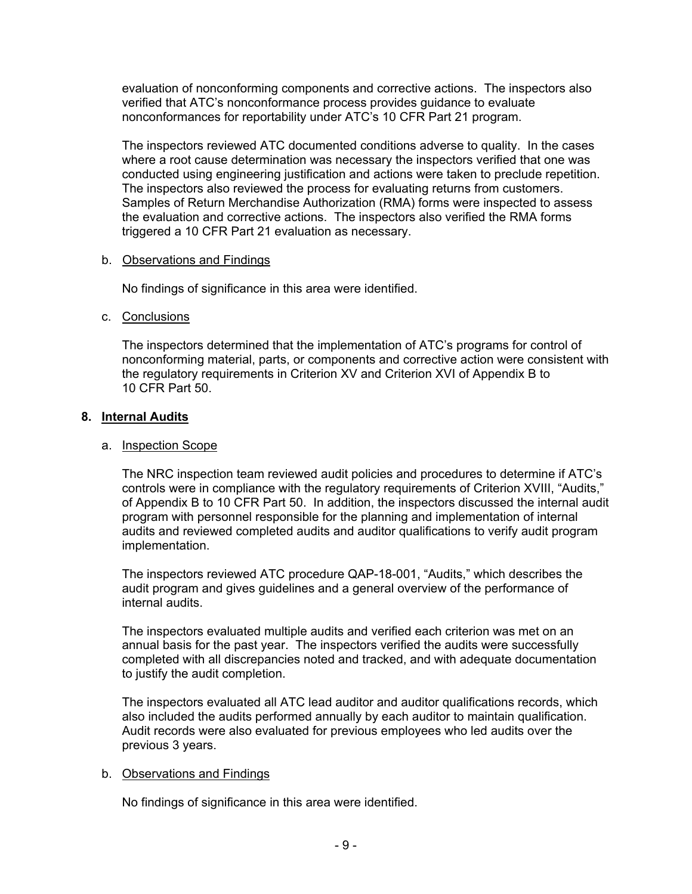evaluation of nonconforming components and corrective actions. The inspectors also verified that ATC's nonconformance process provides guidance to evaluate nonconformances for reportability under ATC's 10 CFR Part 21 program.

The inspectors reviewed ATC documented conditions adverse to quality. In the cases where a root cause determination was necessary the inspectors verified that one was conducted using engineering justification and actions were taken to preclude repetition. The inspectors also reviewed the process for evaluating returns from customers. Samples of Return Merchandise Authorization (RMA) forms were inspected to assess the evaluation and corrective actions. The inspectors also verified the RMA forms triggered a 10 CFR Part 21 evaluation as necessary.

# b. Observations and Findings

No findings of significance in this area were identified.

# c. Conclusions

The inspectors determined that the implementation of ATC's programs for control of nonconforming material, parts, or components and corrective action were consistent with the regulatory requirements in Criterion XV and Criterion XVI of Appendix B to 10 CFR Part 50.

# **8. Internal Audits**

# a. Inspection Scope

The NRC inspection team reviewed audit policies and procedures to determine if ATC's controls were in compliance with the regulatory requirements of Criterion XVIII, "Audits," of Appendix B to 10 CFR Part 50. In addition, the inspectors discussed the internal audit program with personnel responsible for the planning and implementation of internal audits and reviewed completed audits and auditor qualifications to verify audit program implementation.

The inspectors reviewed ATC procedure QAP-18-001, "Audits," which describes the audit program and gives guidelines and a general overview of the performance of internal audits.

The inspectors evaluated multiple audits and verified each criterion was met on an annual basis for the past year. The inspectors verified the audits were successfully completed with all discrepancies noted and tracked, and with adequate documentation to justify the audit completion.

The inspectors evaluated all ATC lead auditor and auditor qualifications records, which also included the audits performed annually by each auditor to maintain qualification. Audit records were also evaluated for previous employees who led audits over the previous 3 years.

# b. Observations and Findings

No findings of significance in this area were identified.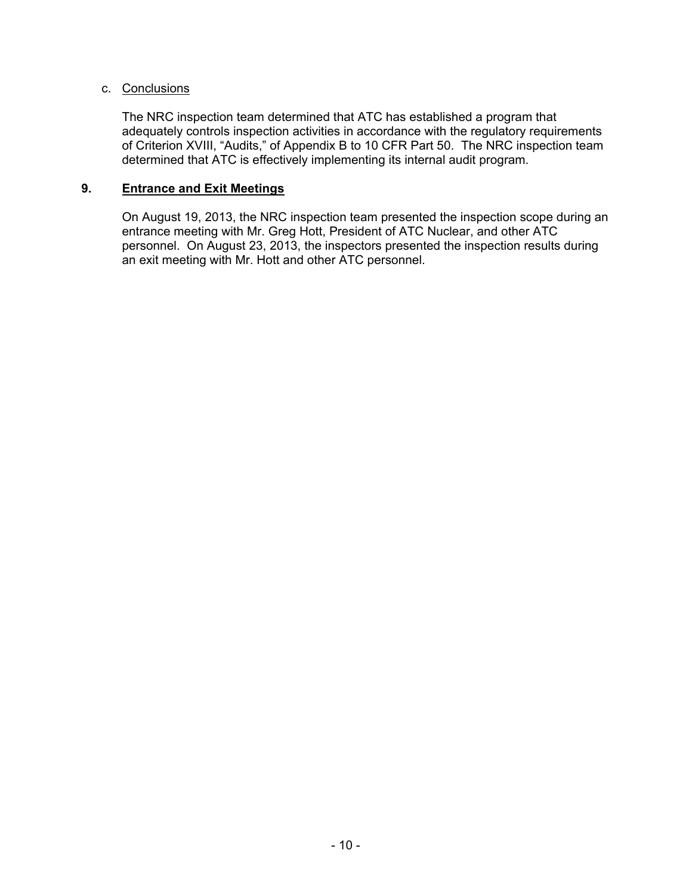# c. Conclusions

The NRC inspection team determined that ATC has established a program that adequately controls inspection activities in accordance with the regulatory requirements of Criterion XVIII, "Audits," of Appendix B to 10 CFR Part 50. The NRC inspection team determined that ATC is effectively implementing its internal audit program.

# **9. Entrance and Exit Meetings**

On August 19, 2013, the NRC inspection team presented the inspection scope during an entrance meeting with Mr. Greg Hott, President of ATC Nuclear, and other ATC personnel. On August 23, 2013, the inspectors presented the inspection results during an exit meeting with Mr. Hott and other ATC personnel.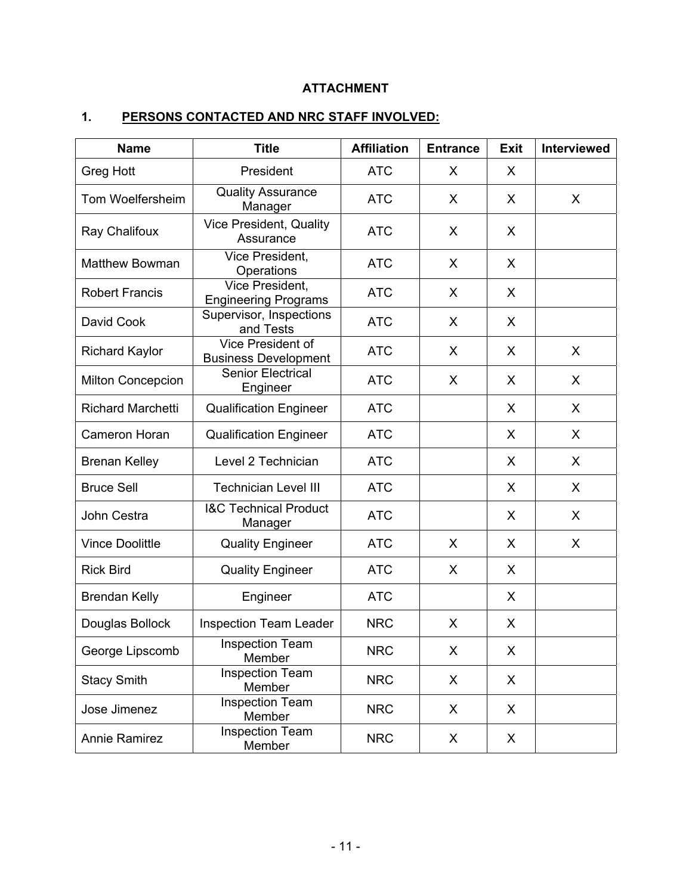# **ATTACHMENT**

# **1. PERSONS CONTACTED AND NRC STAFF INVOLVED:**

| <b>Name</b>              | <b>Title</b>                                     | <b>Affiliation</b> | <b>Entrance</b> | <b>Exit</b> | <b>Interviewed</b> |
|--------------------------|--------------------------------------------------|--------------------|-----------------|-------------|--------------------|
| <b>Greg Hott</b>         | President                                        | <b>ATC</b>         | X               | X           |                    |
| Tom Woelfersheim         | <b>Quality Assurance</b><br>Manager              | <b>ATC</b>         | X               | X           | X                  |
| Ray Chalifoux            | Vice President, Quality<br>Assurance             | <b>ATC</b>         | X               | X           |                    |
| <b>Matthew Bowman</b>    | Vice President,<br>Operations                    | <b>ATC</b>         | X               | X           |                    |
| <b>Robert Francis</b>    | Vice President,<br><b>Engineering Programs</b>   | <b>ATC</b>         | X               | X           |                    |
| David Cook               | Supervisor, Inspections<br>and Tests             | <b>ATC</b>         | X               | X           |                    |
| <b>Richard Kaylor</b>    | Vice President of<br><b>Business Development</b> | <b>ATC</b>         | X               | X           | X                  |
| <b>Milton Concepcion</b> | <b>Senior Electrical</b><br>Engineer             | <b>ATC</b>         | X               | X           | X                  |
| <b>Richard Marchetti</b> | <b>Qualification Engineer</b>                    | <b>ATC</b>         |                 | X           | X                  |
| Cameron Horan            | <b>Qualification Engineer</b>                    | <b>ATC</b>         |                 | X           | X                  |
| <b>Brenan Kelley</b>     | Level 2 Technician                               | <b>ATC</b>         |                 | X           | X                  |
| <b>Bruce Sell</b>        | <b>Technician Level III</b>                      | <b>ATC</b>         |                 | X           | X                  |
| John Cestra              | <b>I&amp;C Technical Product</b><br>Manager      | <b>ATC</b>         |                 | X           | X                  |
| <b>Vince Doolittle</b>   | <b>Quality Engineer</b>                          | <b>ATC</b>         | X               | X           | X                  |
| <b>Rick Bird</b>         | <b>Quality Engineer</b>                          | <b>ATC</b>         | X               | X           |                    |
| <b>Brendan Kelly</b>     | Engineer                                         | <b>ATC</b>         |                 | X           |                    |
| Douglas Bollock          | <b>Inspection Team Leader</b>                    | <b>NRC</b>         | X               | X           |                    |
| George Lipscomb          | <b>Inspection Team</b><br>Member                 | <b>NRC</b>         | X               | X           |                    |
| <b>Stacy Smith</b>       | Inspection Team<br>Member                        | <b>NRC</b>         | X               | X           |                    |
| Jose Jimenez             | <b>Inspection Team</b><br>Member                 | <b>NRC</b>         | X               | X           |                    |
| <b>Annie Ramirez</b>     | <b>Inspection Team</b><br>Member                 | <b>NRC</b>         | X               | X           |                    |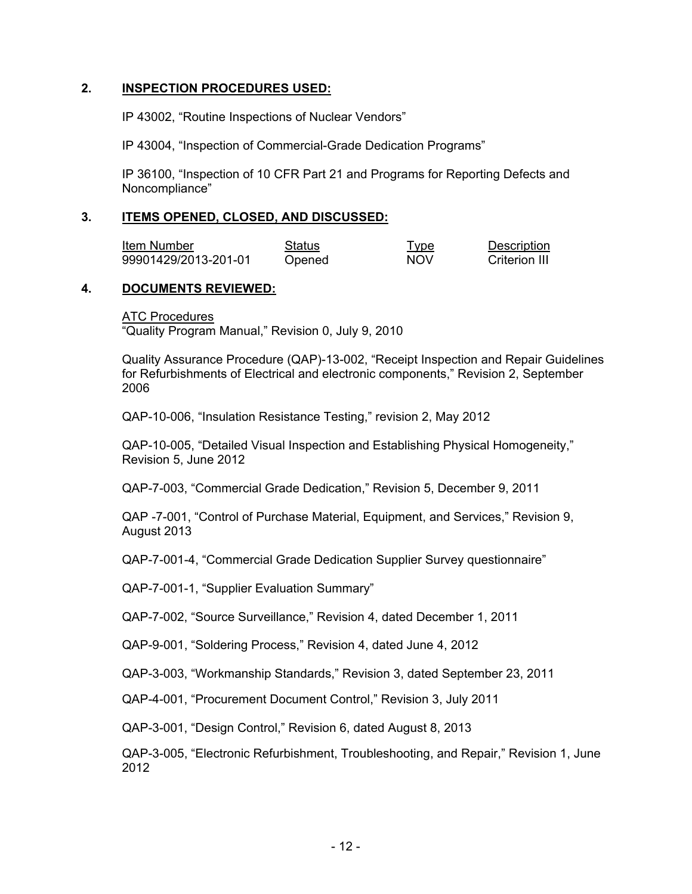# **2. INSPECTION PROCEDURES USED:**

IP 43002, "Routine Inspections of Nuclear Vendors"

IP 43004, "Inspection of Commercial-Grade Dedication Programs"

IP 36100, "Inspection of 10 CFR Part 21 and Programs for Reporting Defects and Noncompliance"

#### **3. ITEMS OPENED, CLOSED, AND DISCUSSED:**

**Item Number Contact Status Contact Contact Type Description** 99901429/2013-201-01 Opened NOV Criterion III

### **4. DOCUMENTS REVIEWED:**

**ATC Procedures** "Quality Program Manual," Revision 0, July 9, 2010

Quality Assurance Procedure (QAP)-13-002, "Receipt Inspection and Repair Guidelines for Refurbishments of Electrical and electronic components," Revision 2, September 2006

QAP-10-006, "Insulation Resistance Testing," revision 2, May 2012

QAP-10-005, "Detailed Visual Inspection and Establishing Physical Homogeneity," Revision 5, June 2012

QAP-7-003, "Commercial Grade Dedication," Revision 5, December 9, 2011

QAP -7-001, "Control of Purchase Material, Equipment, and Services," Revision 9, August 2013

QAP-7-001-4, "Commercial Grade Dedication Supplier Survey questionnaire"

QAP-7-001-1, "Supplier Evaluation Summary"

QAP-7-002, "Source Surveillance," Revision 4, dated December 1, 2011

QAP-9-001, "Soldering Process," Revision 4, dated June 4, 2012

QAP-3-003, "Workmanship Standards," Revision 3, dated September 23, 2011

QAP-4-001, "Procurement Document Control," Revision 3, July 2011

QAP-3-001, "Design Control," Revision 6, dated August 8, 2013

QAP-3-005, "Electronic Refurbishment, Troubleshooting, and Repair," Revision 1, June 2012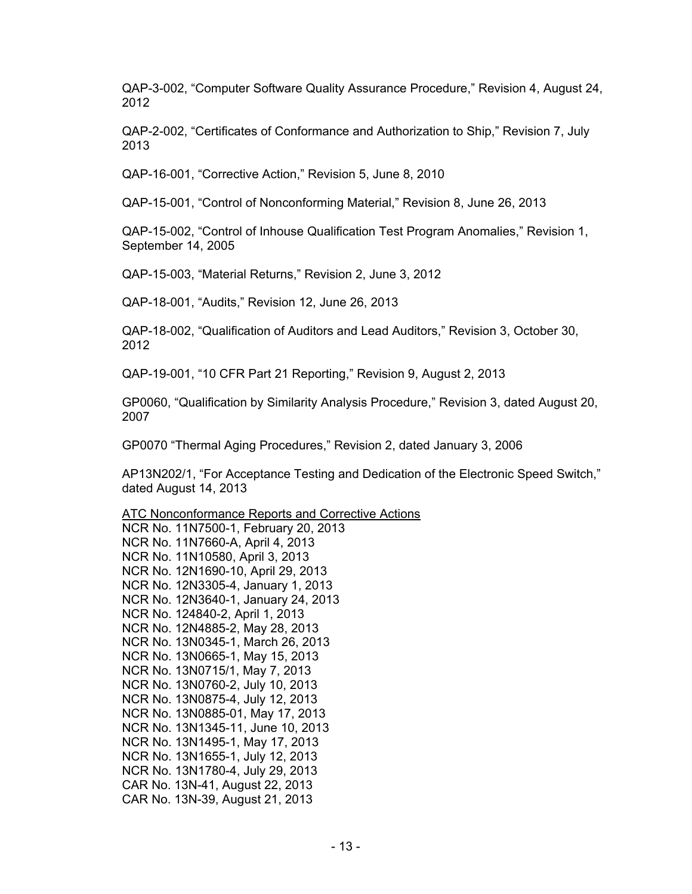QAP-3-002, "Computer Software Quality Assurance Procedure," Revision 4, August 24, 2012

QAP-2-002, "Certificates of Conformance and Authorization to Ship," Revision 7, July 2013

QAP-16-001, "Corrective Action," Revision 5, June 8, 2010

QAP-15-001, "Control of Nonconforming Material," Revision 8, June 26, 2013

QAP-15-002, "Control of Inhouse Qualification Test Program Anomalies," Revision 1, September 14, 2005

QAP-15-003, "Material Returns," Revision 2, June 3, 2012

QAP-18-001, "Audits," Revision 12, June 26, 2013

QAP-18-002, "Qualification of Auditors and Lead Auditors," Revision 3, October 30, 2012

QAP-19-001, "10 CFR Part 21 Reporting," Revision 9, August 2, 2013

GP0060, "Qualification by Similarity Analysis Procedure," Revision 3, dated August 20, 2007

GP0070 "Thermal Aging Procedures," Revision 2, dated January 3, 2006

AP13N202/1, "For Acceptance Testing and Dedication of the Electronic Speed Switch," dated August 14, 2013

ATC Nonconformance Reports and Corrective Actions

NCR No. 11N7500-1, February 20, 2013 NCR No. 11N7660-A, April 4, 2013 NCR No. 11N10580, April 3, 2013 NCR No. 12N1690-10, April 29, 2013 NCR No. 12N3305-4, January 1, 2013 NCR No. 12N3640-1, January 24, 2013 NCR No. 124840-2, April 1, 2013 NCR No. 12N4885-2, May 28, 2013 NCR No. 13N0345-1, March 26, 2013 NCR No. 13N0665-1, May 15, 2013 NCR No. 13N0715/1, May 7, 2013 NCR No. 13N0760-2, July 10, 2013 NCR No. 13N0875-4, July 12, 2013 NCR No. 13N0885-01, May 17, 2013 NCR No. 13N1345-11, June 10, 2013 NCR No. 13N1495-1, May 17, 2013 NCR No. 13N1655-1, July 12, 2013 NCR No. 13N1780-4, July 29, 2013 CAR No. 13N-41, August 22, 2013 CAR No. 13N-39, August 21, 2013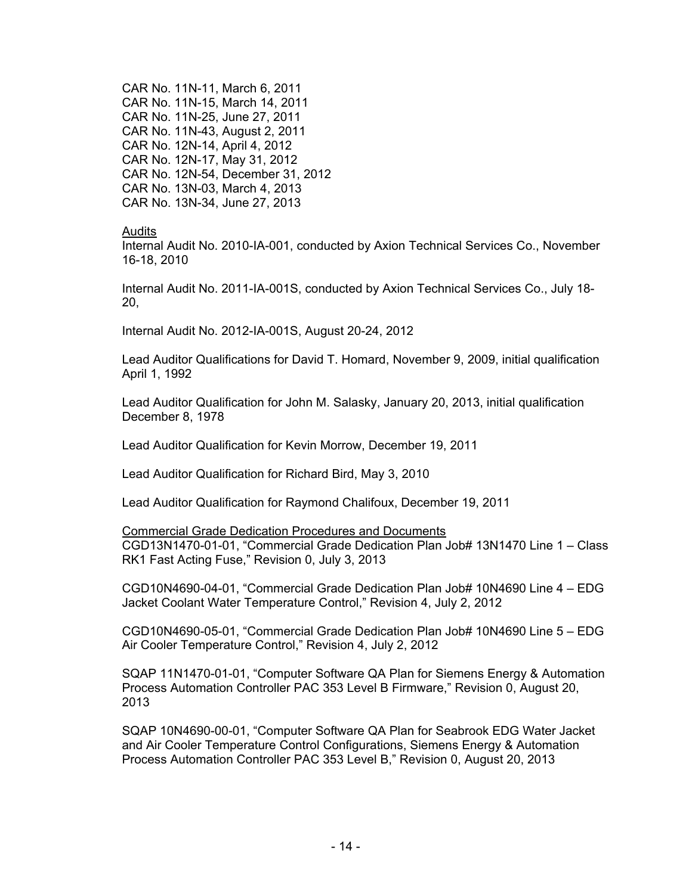CAR No. 11N-11, March 6, 2011 CAR No. 11N-15, March 14, 2011 CAR No. 11N-25, June 27, 2011 CAR No. 11N-43, August 2, 2011 CAR No. 12N-14, April 4, 2012 CAR No. 12N-17, May 31, 2012 CAR No. 12N-54, December 31, 2012 CAR No. 13N-03, March 4, 2013 CAR No. 13N-34, June 27, 2013

Audits

Internal Audit No. 2010-IA-001, conducted by Axion Technical Services Co., November 16-18, 2010

Internal Audit No. 2011-IA-001S, conducted by Axion Technical Services Co., July 18- 20,

Internal Audit No. 2012-IA-001S, August 20-24, 2012

Lead Auditor Qualifications for David T. Homard, November 9, 2009, initial qualification April 1, 1992

Lead Auditor Qualification for John M. Salasky, January 20, 2013, initial qualification December 8, 1978

Lead Auditor Qualification for Kevin Morrow, December 19, 2011

Lead Auditor Qualification for Richard Bird, May 3, 2010

Lead Auditor Qualification for Raymond Chalifoux, December 19, 2011

Commercial Grade Dedication Procedures and Documents CGD13N1470-01-01, "Commercial Grade Dedication Plan Job# 13N1470 Line 1 – Class RK1 Fast Acting Fuse," Revision 0, July 3, 2013

CGD10N4690-04-01, "Commercial Grade Dedication Plan Job# 10N4690 Line 4 – EDG Jacket Coolant Water Temperature Control," Revision 4, July 2, 2012

CGD10N4690-05-01, "Commercial Grade Dedication Plan Job# 10N4690 Line 5 – EDG Air Cooler Temperature Control," Revision 4, July 2, 2012

SQAP 11N1470-01-01, "Computer Software QA Plan for Siemens Energy & Automation Process Automation Controller PAC 353 Level B Firmware," Revision 0, August 20, 2013

SQAP 10N4690-00-01, "Computer Software QA Plan for Seabrook EDG Water Jacket and Air Cooler Temperature Control Configurations, Siemens Energy & Automation Process Automation Controller PAC 353 Level B," Revision 0, August 20, 2013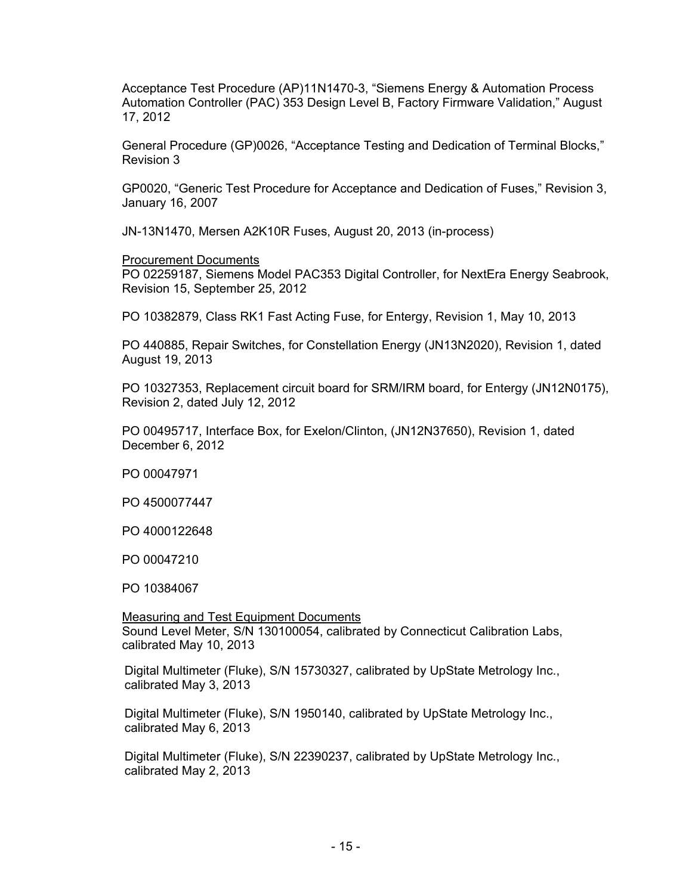Acceptance Test Procedure (AP)11N1470-3, "Siemens Energy & Automation Process Automation Controller (PAC) 353 Design Level B, Factory Firmware Validation," August 17, 2012

General Procedure (GP)0026, "Acceptance Testing and Dedication of Terminal Blocks," Revision 3

GP0020, "Generic Test Procedure for Acceptance and Dedication of Fuses," Revision 3, January 16, 2007

JN-13N1470, Mersen A2K10R Fuses, August 20, 2013 (in-process)

Procurement Documents

PO 02259187, Siemens Model PAC353 Digital Controller, for NextEra Energy Seabrook, Revision 15, September 25, 2012

PO 10382879, Class RK1 Fast Acting Fuse, for Entergy, Revision 1, May 10, 2013

PO 440885, Repair Switches, for Constellation Energy (JN13N2020), Revision 1, dated August 19, 2013

PO 10327353, Replacement circuit board for SRM/IRM board, for Entergy (JN12N0175), Revision 2, dated July 12, 2012

PO 00495717, Interface Box, for Exelon/Clinton, (JN12N37650), Revision 1, dated December 6, 2012

PO 00047971

PO 4500077447

PO 4000122648

PO 00047210

PO 10384067

**Measuring and Test Equipment Documents** Sound Level Meter, S/N 130100054, calibrated by Connecticut Calibration Labs, calibrated May 10, 2013

Digital Multimeter (Fluke), S/N 15730327, calibrated by UpState Metrology Inc., calibrated May 3, 2013

Digital Multimeter (Fluke), S/N 1950140, calibrated by UpState Metrology Inc., calibrated May 6, 2013

Digital Multimeter (Fluke), S/N 22390237, calibrated by UpState Metrology Inc., calibrated May 2, 2013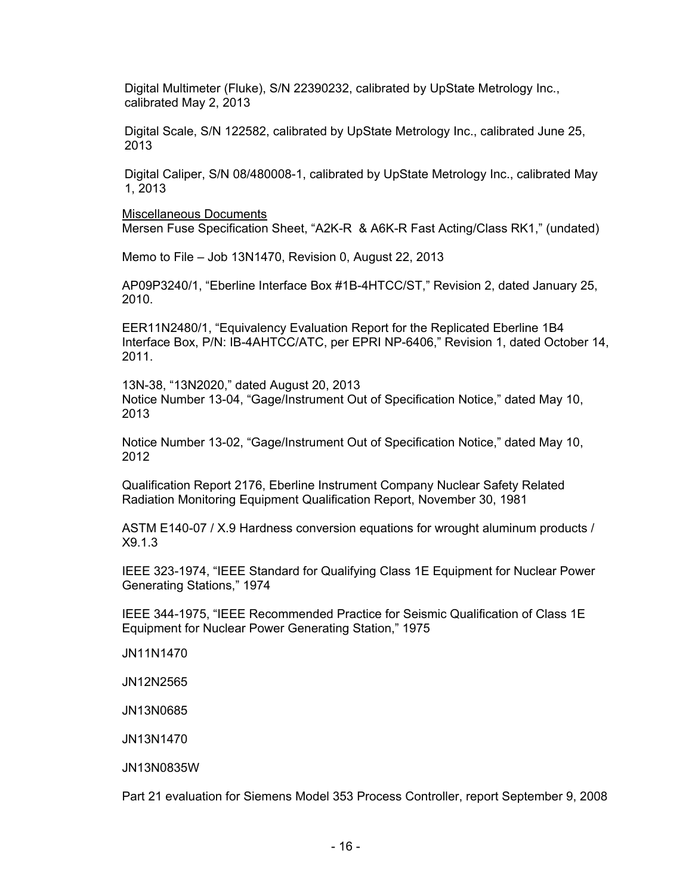Digital Multimeter (Fluke), S/N 22390232, calibrated by UpState Metrology Inc., calibrated May 2, 2013

Digital Scale, S/N 122582, calibrated by UpState Metrology Inc., calibrated June 25, 2013

Digital Caliper, S/N 08/480008-1, calibrated by UpState Metrology Inc., calibrated May 1, 2013

Miscellaneous Documents Mersen Fuse Specification Sheet, "A2K-R & A6K-R Fast Acting/Class RK1," (undated)

Memo to File – Job 13N1470, Revision 0, August 22, 2013

AP09P3240/1, "Eberline Interface Box #1B-4HTCC/ST," Revision 2, dated January 25, 2010.

EER11N2480/1, "Equivalency Evaluation Report for the Replicated Eberline 1B4 Interface Box, P/N: IB-4AHTCC/ATC, per EPRI NP-6406," Revision 1, dated October 14, 2011.

13N-38, "13N2020," dated August 20, 2013 Notice Number 13-04, "Gage/Instrument Out of Specification Notice," dated May 10, 2013

Notice Number 13-02, "Gage/Instrument Out of Specification Notice," dated May 10, 2012

Qualification Report 2176, Eberline Instrument Company Nuclear Safety Related Radiation Monitoring Equipment Qualification Report, November 30, 1981

ASTM E140-07 / X.9 Hardness conversion equations for wrought aluminum products / X9.1.3

IEEE 323-1974, "IEEE Standard for Qualifying Class 1E Equipment for Nuclear Power Generating Stations," 1974

IEEE 344-1975, "IEEE Recommended Practice for Seismic Qualification of Class 1E Equipment for Nuclear Power Generating Station," 1975

JN11N1470

JN12N2565

JN13N0685

JN13N1470

JN13N0835W

Part 21 evaluation for Siemens Model 353 Process Controller, report September 9, 2008